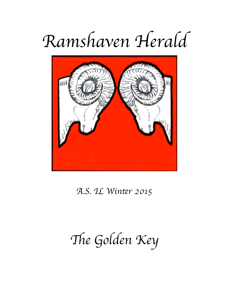# Ramshaven Herald



A.S. IL Winter 2015

The Golden Key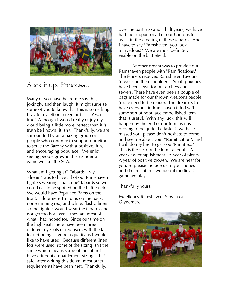

#### Suck it up, Princess…

Many of you have heard me say this, jokingly, and then laugh. It might surprise some of you to know that this is something I say to myself on a regular basis. Yes, it's true! Although I would really enjoy my world being a little more perfect than it is, truth be known, it isn't. Thankfully, we are surrounded by an amazing group of people who continue to support our efforts to serve the Barony with a positive, fun, and encouraging populace. We enjoy seeing people grow in this wonderful game we call the SCA.

What am I getting at? Tabards. My "dream" was to have all of our Ramshaven fighters wearing "matching" tabards so we could easily be spotted on the battle field. We would have Populace Rams on the front, Ealdormere Trilliums on the back, none running red, and white, flashy, linen so the fighters would wear the tabards and not get too hot. Well, they are most of what I had hoped for. Since our time on the high seats there have been three different dye lots of red used, with the last lot not being as good a quality as I would like to have used. Because different linen lots were used, some of the sizing isn't the same which means some of the tabards have different embattlement sizing. That said, after writing this down, most other requirements have been met. Thankfully,

over the past two and a half years, we have had the support of all of our Cantons to assist in the creating of these tabards. And I have to say "Ramshaven, you look marvellous!" We are most definitely visible on the battlefield.

 Another dream was to provide our Ramshaven people with "Ramifications." The fencers received Ramshaven Favours to wear on their shoulders. Small pouches have been sewn for our archers and sewers. There have even been a couple of bags made for our thrown weapons people (more need to be made). The dream is to have everyone in Ramshaven fitted with some sort of populace embellished item that is useful. With any luck, this will happen by the end of our term as it is proving to be quite the task. If we have missed you, please don't hesitate to come and see me about your "Ramification", and I will do my best to get you "Ramified." This is the year of the Ram, after all. A year of accomplishment. A year of plenty. A year of positive growth. We are hear for you, so please include us in your hopes and dreams of this wonderful medieval game we play.

Thankfully Yours,

Excellency Ramshaven, Sibylla of Glyndmere

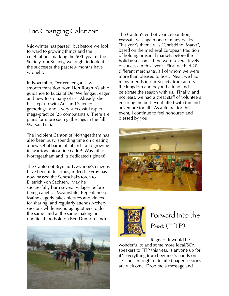#### The Changing Calendar

Mid-winter has passed, but before we look forward to growing things and the celebrations marking the 50th year of the Society, our Society, we ought to look at the successes the past few months have wrought.

In November, Der Welfengau saw a smooth transition from Herr Rotgrun's able guidance to Lucia of Der Welfengau, eager and new to so many of us. Already, she has kept up with Arts and Science gatherings, and a very successful rapier mega-practice (28 combatants!). There are plans for more such gatherings in the fall. Wassail Lucia!

The Incipient Canton of Northgeatham has also been busy, spending time on creating a new set of baronial tabards, and growing its warriors into a fine cadre! Wassail to Northgeatham and its dedicated fighters!

The Canton of Bryniau Tywynnog's citizens have been industrious, indeed. Eyrny has now passed the Seneschal's torch to Dietrich von Sachsen. May he successfully burn several villages before being caught. Meanwhile, Repentance of Maine eagerly takes pictures and videos for sharing, and regularly attends Archery sessions while encouraging others to do the same (and at the same making an unofficial foothold on Ben Dunfirth land).



The Canton's end of year celebration, Wassail, was again one of many peaks. This year's theme was "Christkindl Markt", based on the medieval European tradition of holding artisanal markets before the holiday season. There were several levels of success in this event. First, we had 20 different merchants, all of whom we were more than pleased to host. Next, we had many friends in our Society from across the kingdom and beyond attend and celebrate the season with us. Finally, and not least, we had a great staff of volunteers ensuring the best event filled with fun and adventure for all! As autocrat for this event, I continue to feel honoured and blessed by you.





### Forward Into the Past (FITP)

Ragnar: It would be wonderful to add some more local/SCA speakers to FITP this year. Is anyone up for it? Everything from beginner's hands-on sessions through to detailed paper sessions are welcome. Drop me a message and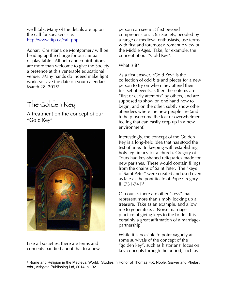we'll talk. Many of the details are up on the call for speakers site. <http://www.fitp.ca/call.php>

Adnar: Christiana de Montgomery will be heading up the charge for our annual display table. All help and contributions are more than welcome to give the Society a presence at this venerable educational venue. Many hands do indeed make light work, so save the date on your calendar: March 28, 2015!

## The Golden Key

A treatment on the concept of our "Gold Key"



Like all societies, there are terms and concepts bandied about that to a new person can seem at first beyond comprehension. Our Society, peopled by a range of medieval enthusiasts, use terms with first and foremost a romantic view of the Middle Ages. Take, for example, the concept of our "Gold Key".

#### What is it?

As a first answer, "Gold Key" is the collection of odd bits and pieces for a new person to try on when they attend their first set of events. Often these items are "first or early attempts" by others, and are supposed to show on one hand how to begin, and on the other, subtly show other attendees where the new people are (and to help overcome the lost or overwhelmed feeling that can easily crop up in a new environment).

Interestingly, the concept of the Golden Key is a long-held idea that has stood the test of time. In keeping with establishing holy legitimacy for a church, Gregory of Tours had key-shaped reliquaries made for new parishes. These would contain filings from the chains of Saint Peter. The "keys of Saint Peter" were created and used even as late as the pontificate of Pope Gregory III  $(731 - 741)^1$ .

Of course, there are other "keys" that represent more than simply locking up a treasure. Take as an example, and allow me to generalize, a Norse marriage practice of giving keys to the bride. It is certainly a great affirmation of a marriagepartnership.

While it is possible to point vaguely at some survivals of the concept of the "golden key", such as historians' focus on key concepts through the period, such as

<sup>&</sup>lt;sup>1</sup> Rome and Religion in the Medieval World: Studies in Honor of Thomas F.X. Noble, Garver and Phelan, eds., Ashgate Publishing Ltd, 2014. p.192